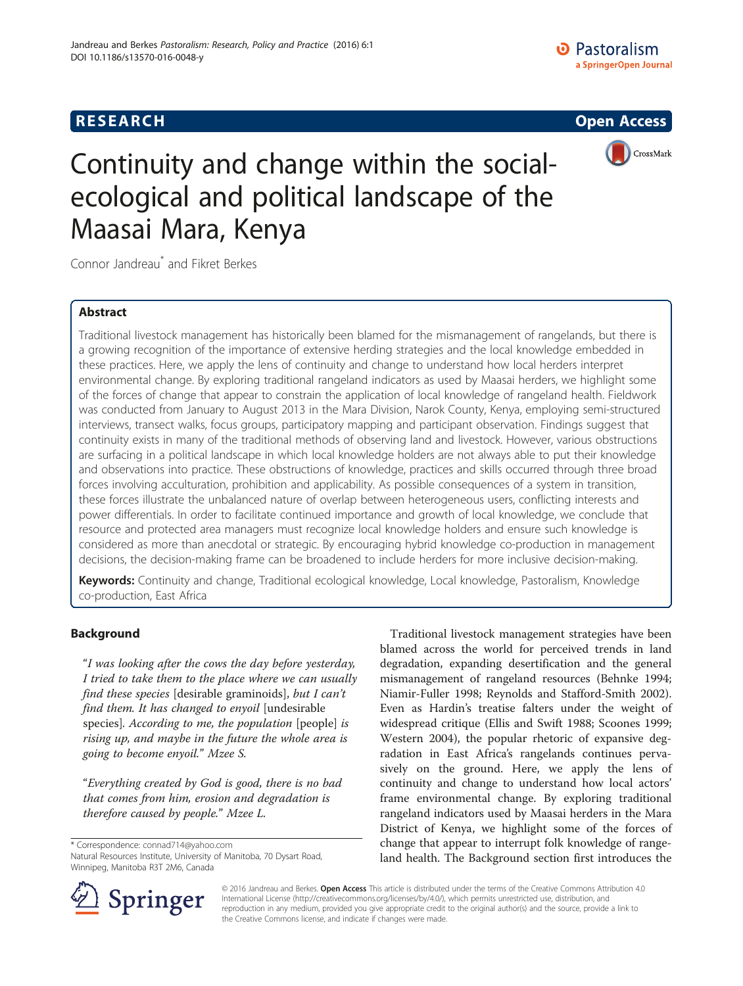# **RESEARCH CHILD CONTROL** CONTROL CONTROL CONTROL CONTROL CONTROL CONTROL CONTROL CONTROL CONTROL CONTROL CONTROL CONTROL CONTROL CONTROL CONTROL CONTROL CONTROL CONTROL CONTROL CONTROL CONTROL CONTROL CONTROL CONTROL CONTR



# Continuity and change within the socialecological and political landscape of the Maasai Mara, Kenya

Connor Jandreau\* and Fikret Berkes

# Abstract

Traditional livestock management has historically been blamed for the mismanagement of rangelands, but there is a growing recognition of the importance of extensive herding strategies and the local knowledge embedded in these practices. Here, we apply the lens of continuity and change to understand how local herders interpret environmental change. By exploring traditional rangeland indicators as used by Maasai herders, we highlight some of the forces of change that appear to constrain the application of local knowledge of rangeland health. Fieldwork was conducted from January to August 2013 in the Mara Division, Narok County, Kenya, employing semi-structured interviews, transect walks, focus groups, participatory mapping and participant observation. Findings suggest that continuity exists in many of the traditional methods of observing land and livestock. However, various obstructions are surfacing in a political landscape in which local knowledge holders are not always able to put their knowledge and observations into practice. These obstructions of knowledge, practices and skills occurred through three broad forces involving acculturation, prohibition and applicability. As possible consequences of a system in transition, these forces illustrate the unbalanced nature of overlap between heterogeneous users, conflicting interests and power differentials. In order to facilitate continued importance and growth of local knowledge, we conclude that resource and protected area managers must recognize local knowledge holders and ensure such knowledge is considered as more than anecdotal or strategic. By encouraging hybrid knowledge co-production in management decisions, the decision-making frame can be broadened to include herders for more inclusive decision-making.

Keywords: Continuity and change, Traditional ecological knowledge, Local knowledge, Pastoralism, Knowledge co-production, East Africa

# Background

"I was looking after the cows the day before yesterday, I tried to take them to the place where we can usually find these species [desirable graminoids], but I can't find them. It has changed to enyoil [undesirable species]. According to me, the population [people] is rising up, and maybe in the future the whole area is going to become enyoil." Mzee S.

"Everything created by God is good, there is no bad that comes from him, erosion and degradation is therefore caused by people." Mzee L.

\* Correspondence: [connad714@yahoo.com](mailto:connad714@yahoo.com)

Natural Resources Institute, University of Manitoba, 70 Dysart Road, Winnipeg, Manitoba R3T 2M6, Canada

Traditional livestock management strategies have been blamed across the world for perceived trends in land degradation, expanding desertification and the general mismanagement of rangeland resources (Behnke [1994](#page-13-0); Niamir-Fuller [1998](#page-13-0); Reynolds and Stafford-Smith [2002](#page-14-0)). Even as Hardin's treatise falters under the weight of widespread critique (Ellis and Swift [1988](#page-13-0); Scoones [1999](#page-14-0); Western [2004\)](#page-14-0), the popular rhetoric of expansive degradation in East Africa's rangelands continues pervasively on the ground. Here, we apply the lens of continuity and change to understand how local actors' frame environmental change. By exploring traditional rangeland indicators used by Maasai herders in the Mara District of Kenya, we highlight some of the forces of change that appear to interrupt folk knowledge of rangeland health. The Background section first introduces the



© 2016 Jandreau and Berkes. Open Access This article is distributed under the terms of the Creative Commons Attribution 4.0 International License ([http://creativecommons.org/licenses/by/4.0/\)](http://creativecommons.org/licenses/by/4.0/), which permits unrestricted use, distribution, and reproduction in any medium, provided you give appropriate credit to the original author(s) and the source, provide a link to the Creative Commons license, and indicate if changes were made.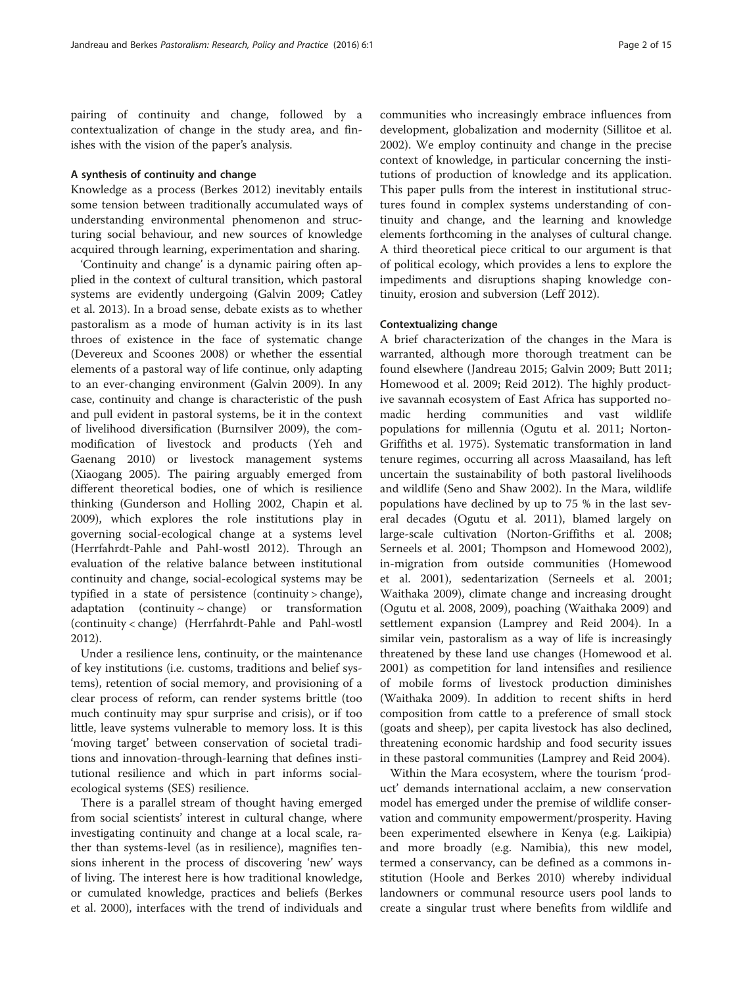pairing of continuity and change, followed by a contextualization of change in the study area, and finishes with the vision of the paper's analysis.

#### A synthesis of continuity and change

Knowledge as a process (Berkes [2012](#page-13-0)) inevitably entails some tension between traditionally accumulated ways of understanding environmental phenomenon and structuring social behaviour, and new sources of knowledge acquired through learning, experimentation and sharing.

'Continuity and change' is a dynamic pairing often applied in the context of cultural transition, which pastoral systems are evidently undergoing (Galvin [2009;](#page-13-0) Catley et al. [2013\)](#page-13-0). In a broad sense, debate exists as to whether pastoralism as a mode of human activity is in its last throes of existence in the face of systematic change (Devereux and Scoones [2008](#page-13-0)) or whether the essential elements of a pastoral way of life continue, only adapting to an ever-changing environment (Galvin [2009](#page-13-0)). In any case, continuity and change is characteristic of the push and pull evident in pastoral systems, be it in the context of livelihood diversification (Burnsilver [2009\)](#page-13-0), the commodification of livestock and products (Yeh and Gaenang [2010\)](#page-14-0) or livestock management systems (Xiaogang [2005](#page-14-0)). The pairing arguably emerged from different theoretical bodies, one of which is resilience thinking (Gunderson and Holling [2002](#page-13-0), Chapin et al. [2009](#page-13-0)), which explores the role institutions play in governing social-ecological change at a systems level (Herrfahrdt-Pahle and Pahl-wostl [2012](#page-13-0)). Through an evaluation of the relative balance between institutional continuity and change, social-ecological systems may be typified in a state of persistence (continuity > change), adaptation (continuity  $\sim$  change) or transformation (continuity < change) (Herrfahrdt-Pahle and Pahl-wostl [2012](#page-13-0)).

Under a resilience lens, continuity, or the maintenance of key institutions (i.e. customs, traditions and belief systems), retention of social memory, and provisioning of a clear process of reform, can render systems brittle (too much continuity may spur surprise and crisis), or if too little, leave systems vulnerable to memory loss. It is this 'moving target' between conservation of societal traditions and innovation-through-learning that defines institutional resilience and which in part informs socialecological systems (SES) resilience.

There is a parallel stream of thought having emerged from social scientists' interest in cultural change, where investigating continuity and change at a local scale, rather than systems-level (as in resilience), magnifies tensions inherent in the process of discovering 'new' ways of living. The interest here is how traditional knowledge, or cumulated knowledge, practices and beliefs (Berkes et al. [2000](#page-13-0)), interfaces with the trend of individuals and

communities who increasingly embrace influences from development, globalization and modernity (Sillitoe et al. [2002](#page-14-0)). We employ continuity and change in the precise context of knowledge, in particular concerning the institutions of production of knowledge and its application. This paper pulls from the interest in institutional structures found in complex systems understanding of continuity and change, and the learning and knowledge elements forthcoming in the analyses of cultural change. A third theoretical piece critical to our argument is that of political ecology, which provides a lens to explore the impediments and disruptions shaping knowledge continuity, erosion and subversion (Leff [2012](#page-13-0)).

#### Contextualizing change

A brief characterization of the changes in the Mara is warranted, although more thorough treatment can be found elsewhere (Jandreau [2015;](#page-13-0) Galvin [2009](#page-13-0); Butt [2011](#page-13-0); Homewood et al. [2009](#page-13-0); Reid [2012](#page-14-0)). The highly productive savannah ecosystem of East Africa has supported nomadic herding communities and vast wildlife populations for millennia (Ogutu et al. [2011;](#page-14-0) Norton-Griffiths et al. [1975](#page-13-0)). Systematic transformation in land tenure regimes, occurring all across Maasailand, has left uncertain the sustainability of both pastoral livelihoods and wildlife (Seno and Shaw [2002](#page-14-0)). In the Mara, wildlife populations have declined by up to 75 % in the last several decades (Ogutu et al. [2011\)](#page-14-0), blamed largely on large-scale cultivation (Norton-Griffiths et al. [2008](#page-14-0); Serneels et al. [2001](#page-14-0); Thompson and Homewood [2002](#page-14-0)), in-migration from outside communities (Homewood et al. [2001\)](#page-13-0), sedentarization (Serneels et al. [2001](#page-14-0); Waithaka [2009](#page-14-0)), climate change and increasing drought (Ogutu et al. [2008](#page-14-0), [2009](#page-14-0)), poaching (Waithaka [2009](#page-14-0)) and settlement expansion (Lamprey and Reid [2004\)](#page-13-0). In a similar vein, pastoralism as a way of life is increasingly threatened by these land use changes (Homewood et al. [2001](#page-13-0)) as competition for land intensifies and resilience of mobile forms of livestock production diminishes (Waithaka [2009\)](#page-14-0). In addition to recent shifts in herd composition from cattle to a preference of small stock (goats and sheep), per capita livestock has also declined, threatening economic hardship and food security issues in these pastoral communities (Lamprey and Reid [2004\)](#page-13-0).

Within the Mara ecosystem, where the tourism 'product' demands international acclaim, a new conservation model has emerged under the premise of wildlife conservation and community empowerment/prosperity. Having been experimented elsewhere in Kenya (e.g. Laikipia) and more broadly (e.g. Namibia), this new model, termed a conservancy, can be defined as a commons institution (Hoole and Berkes [2010](#page-13-0)) whereby individual landowners or communal resource users pool lands to create a singular trust where benefits from wildlife and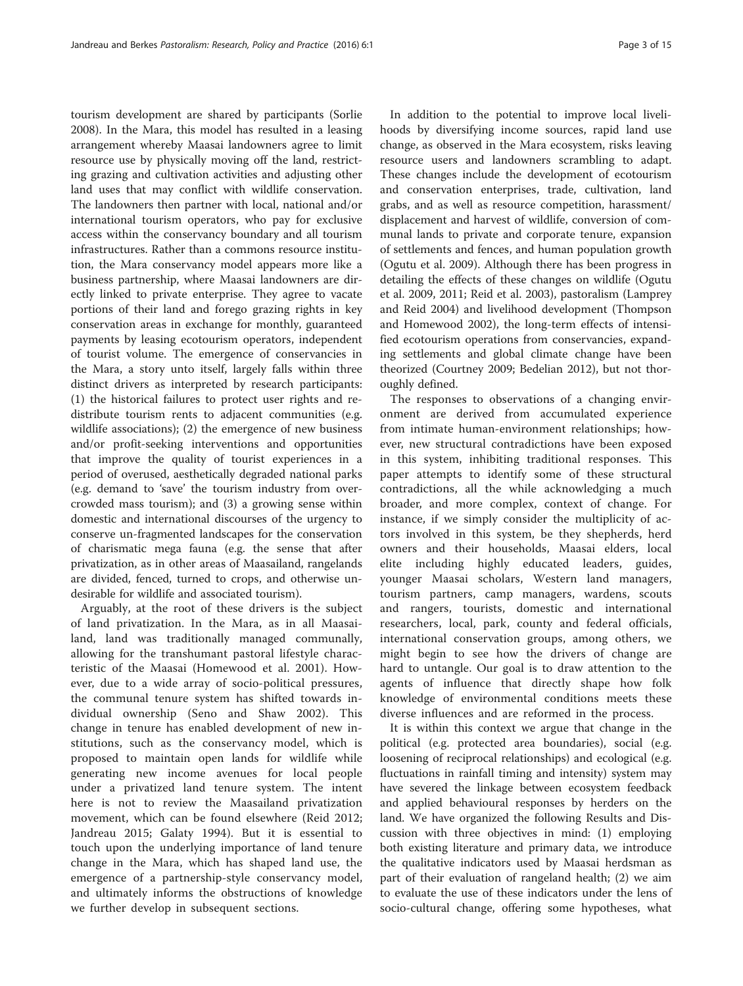tourism development are shared by participants (Sorlie [2008](#page-14-0)). In the Mara, this model has resulted in a leasing arrangement whereby Maasai landowners agree to limit resource use by physically moving off the land, restricting grazing and cultivation activities and adjusting other land uses that may conflict with wildlife conservation. The landowners then partner with local, national and/or international tourism operators, who pay for exclusive access within the conservancy boundary and all tourism infrastructures. Rather than a commons resource institution, the Mara conservancy model appears more like a business partnership, where Maasai landowners are directly linked to private enterprise. They agree to vacate portions of their land and forego grazing rights in key conservation areas in exchange for monthly, guaranteed payments by leasing ecotourism operators, independent of tourist volume. The emergence of conservancies in the Mara, a story unto itself, largely falls within three distinct drivers as interpreted by research participants: (1) the historical failures to protect user rights and redistribute tourism rents to adjacent communities (e.g. wildlife associations); (2) the emergence of new business and/or profit-seeking interventions and opportunities that improve the quality of tourist experiences in a period of overused, aesthetically degraded national parks (e.g. demand to 'save' the tourism industry from overcrowded mass tourism); and (3) a growing sense within domestic and international discourses of the urgency to conserve un-fragmented landscapes for the conservation of charismatic mega fauna (e.g. the sense that after privatization, as in other areas of Maasailand, rangelands are divided, fenced, turned to crops, and otherwise undesirable for wildlife and associated tourism).

Arguably, at the root of these drivers is the subject of land privatization. In the Mara, as in all Maasailand, land was traditionally managed communally, allowing for the transhumant pastoral lifestyle characteristic of the Maasai (Homewood et al. [2001\)](#page-13-0). However, due to a wide array of socio-political pressures, the communal tenure system has shifted towards individual ownership (Seno and Shaw [2002\)](#page-14-0). This change in tenure has enabled development of new institutions, such as the conservancy model, which is proposed to maintain open lands for wildlife while generating new income avenues for local people under a privatized land tenure system. The intent here is not to review the Maasailand privatization movement, which can be found elsewhere (Reid [2012](#page-14-0); Jandreau [2015;](#page-13-0) Galaty [1994\)](#page-13-0). But it is essential to touch upon the underlying importance of land tenure change in the Mara, which has shaped land use, the emergence of a partnership-style conservancy model, and ultimately informs the obstructions of knowledge we further develop in subsequent sections.

In addition to the potential to improve local livelihoods by diversifying income sources, rapid land use change, as observed in the Mara ecosystem, risks leaving resource users and landowners scrambling to adapt. These changes include the development of ecotourism and conservation enterprises, trade, cultivation, land grabs, and as well as resource competition, harassment/ displacement and harvest of wildlife, conversion of communal lands to private and corporate tenure, expansion of settlements and fences, and human population growth (Ogutu et al. [2009\)](#page-14-0). Although there has been progress in detailing the effects of these changes on wildlife (Ogutu et al. [2009](#page-14-0), [2011](#page-14-0); Reid et al. [2003\)](#page-14-0), pastoralism (Lamprey and Reid [2004](#page-13-0)) and livelihood development (Thompson and Homewood [2002\)](#page-14-0), the long-term effects of intensified ecotourism operations from conservancies, expanding settlements and global climate change have been theorized (Courtney [2009;](#page-13-0) Bedelian [2012\)](#page-13-0), but not thoroughly defined.

The responses to observations of a changing environment are derived from accumulated experience from intimate human-environment relationships; however, new structural contradictions have been exposed in this system, inhibiting traditional responses. This paper attempts to identify some of these structural contradictions, all the while acknowledging a much broader, and more complex, context of change. For instance, if we simply consider the multiplicity of actors involved in this system, be they shepherds, herd owners and their households, Maasai elders, local elite including highly educated leaders, guides, younger Maasai scholars, Western land managers, tourism partners, camp managers, wardens, scouts and rangers, tourists, domestic and international researchers, local, park, county and federal officials, international conservation groups, among others, we might begin to see how the drivers of change are hard to untangle. Our goal is to draw attention to the agents of influence that directly shape how folk knowledge of environmental conditions meets these diverse influences and are reformed in the process.

It is within this context we argue that change in the political (e.g. protected area boundaries), social (e.g. loosening of reciprocal relationships) and ecological (e.g. fluctuations in rainfall timing and intensity) system may have severed the linkage between ecosystem feedback and applied behavioural responses by herders on the land. We have organized the following Results and Discussion with three objectives in mind: (1) employing both existing literature and primary data, we introduce the qualitative indicators used by Maasai herdsman as part of their evaluation of rangeland health; (2) we aim to evaluate the use of these indicators under the lens of socio-cultural change, offering some hypotheses, what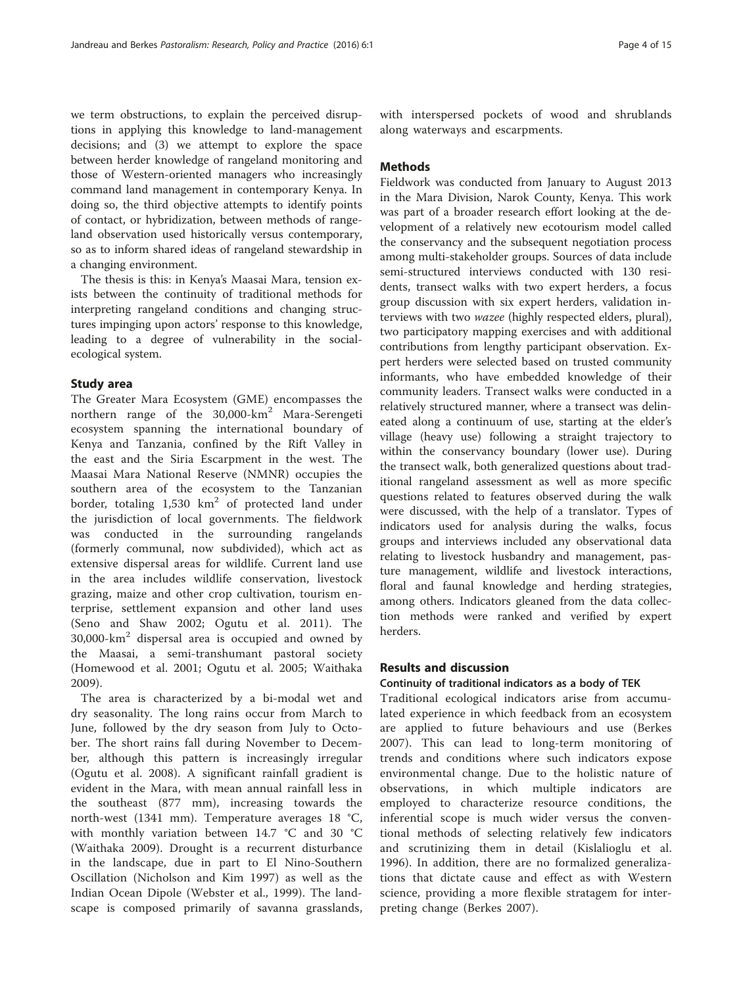we term obstructions, to explain the perceived disruptions in applying this knowledge to land-management decisions; and (3) we attempt to explore the space between herder knowledge of rangeland monitoring and those of Western-oriented managers who increasingly command land management in contemporary Kenya. In doing so, the third objective attempts to identify points of contact, or hybridization, between methods of rangeland observation used historically versus contemporary, so as to inform shared ideas of rangeland stewardship in a changing environment.

The thesis is this: in Kenya's Maasai Mara, tension exists between the continuity of traditional methods for interpreting rangeland conditions and changing structures impinging upon actors' response to this knowledge, leading to a degree of vulnerability in the socialecological system.

#### Study area

The Greater Mara Ecosystem (GME) encompasses the northern range of the 30,000-km<sup>2</sup> Mara-Serengeti ecosystem spanning the international boundary of Kenya and Tanzania, confined by the Rift Valley in the east and the Siria Escarpment in the west. The Maasai Mara National Reserve (NMNR) occupies the southern area of the ecosystem to the Tanzanian border, totaling  $1,530 \text{ km}^2$  of protected land under the jurisdiction of local governments. The fieldwork was conducted in the surrounding rangelands (formerly communal, now subdivided), which act as extensive dispersal areas for wildlife. Current land use in the area includes wildlife conservation, livestock grazing, maize and other crop cultivation, tourism enterprise, settlement expansion and other land uses (Seno and Shaw [2002;](#page-14-0) Ogutu et al. [2011\)](#page-14-0). The  $30,000$ -km<sup>2</sup> dispersal area is occupied and owned by the Maasai, a semi-transhumant pastoral society (Homewood et al. [2001](#page-13-0); Ogutu et al. [2005;](#page-14-0) Waithaka [2009\)](#page-14-0).

The area is characterized by a bi-modal wet and dry seasonality. The long rains occur from March to June, followed by the dry season from July to October. The short rains fall during November to December, although this pattern is increasingly irregular (Ogutu et al. [2008](#page-14-0)). A significant rainfall gradient is evident in the Mara, with mean annual rainfall less in the southeast (877 mm), increasing towards the north-west (1341 mm). Temperature averages 18 °C, with monthly variation between 14.7 °C and 30 °C (Waithaka [2009](#page-14-0)). Drought is a recurrent disturbance in the landscape, due in part to El Nino-Southern Oscillation (Nicholson and Kim [1997\)](#page-13-0) as well as the Indian Ocean Dipole (Webster et al., [1999](#page-14-0)). The landscape is composed primarily of savanna grasslands,

with interspersed pockets of wood and shrublands along waterways and escarpments.

#### Methods

Fieldwork was conducted from January to August 2013 in the Mara Division, Narok County, Kenya. This work was part of a broader research effort looking at the development of a relatively new ecotourism model called the conservancy and the subsequent negotiation process among multi-stakeholder groups. Sources of data include semi-structured interviews conducted with 130 residents, transect walks with two expert herders, a focus group discussion with six expert herders, validation interviews with two wazee (highly respected elders, plural), two participatory mapping exercises and with additional contributions from lengthy participant observation. Expert herders were selected based on trusted community informants, who have embedded knowledge of their community leaders. Transect walks were conducted in a relatively structured manner, where a transect was delineated along a continuum of use, starting at the elder's village (heavy use) following a straight trajectory to within the conservancy boundary (lower use). During the transect walk, both generalized questions about traditional rangeland assessment as well as more specific questions related to features observed during the walk were discussed, with the help of a translator. Types of indicators used for analysis during the walks, focus groups and interviews included any observational data relating to livestock husbandry and management, pasture management, wildlife and livestock interactions, floral and faunal knowledge and herding strategies, among others. Indicators gleaned from the data collection methods were ranked and verified by expert herders.

### Results and discussion

#### Continuity of traditional indicators as a body of TEK

Traditional ecological indicators arise from accumulated experience in which feedback from an ecosystem are applied to future behaviours and use (Berkes [2007\)](#page-13-0). This can lead to long-term monitoring of trends and conditions where such indicators expose environmental change. Due to the holistic nature of observations, in which multiple indicators are employed to characterize resource conditions, the inferential scope is much wider versus the conventional methods of selecting relatively few indicators and scrutinizing them in detail (Kislalioglu et al. [1996\)](#page-13-0). In addition, there are no formalized generalizations that dictate cause and effect as with Western science, providing a more flexible stratagem for interpreting change (Berkes [2007](#page-13-0)).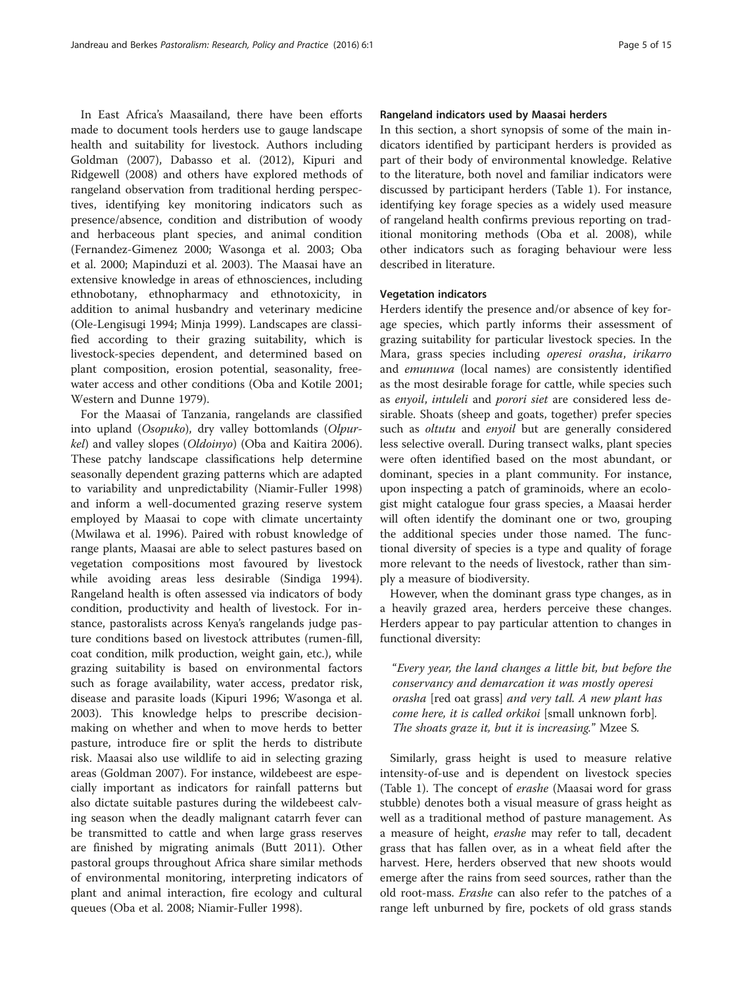In East Africa's Maasailand, there have been efforts made to document tools herders use to gauge landscape health and suitability for livestock. Authors including Goldman ([2007](#page-13-0)), Dabasso et al. ([2012\)](#page-13-0), Kipuri and Ridgewell ([2008](#page-13-0)) and others have explored methods of rangeland observation from traditional herding perspectives, identifying key monitoring indicators such as presence/absence, condition and distribution of woody and herbaceous plant species, and animal condition (Fernandez-Gimenez [2000](#page-13-0); Wasonga et al. [2003;](#page-14-0) Oba et al. [2000](#page-14-0); Mapinduzi et al. [2003](#page-13-0)). The Maasai have an extensive knowledge in areas of ethnosciences, including ethnobotany, ethnopharmacy and ethnotoxicity, in addition to animal husbandry and veterinary medicine (Ole-Lengisugi [1994;](#page-14-0) Minja [1999\)](#page-13-0). Landscapes are classified according to their grazing suitability, which is livestock-species dependent, and determined based on plant composition, erosion potential, seasonality, freewater access and other conditions (Oba and Kotile [2001](#page-14-0); Western and Dunne [1979\)](#page-14-0).

For the Maasai of Tanzania, rangelands are classified into upland (Osopuko), dry valley bottomlands (Olpurkel) and valley slopes (Oldoinyo) (Oba and Kaitira [2006](#page-14-0)). These patchy landscape classifications help determine seasonally dependent grazing patterns which are adapted to variability and unpredictability (Niamir-Fuller [1998](#page-13-0)) and inform a well-documented grazing reserve system employed by Maasai to cope with climate uncertainty (Mwilawa et al. [1996\)](#page-13-0). Paired with robust knowledge of range plants, Maasai are able to select pastures based on vegetation compositions most favoured by livestock while avoiding areas less desirable (Sindiga [1994](#page-14-0)). Rangeland health is often assessed via indicators of body condition, productivity and health of livestock. For instance, pastoralists across Kenya's rangelands judge pasture conditions based on livestock attributes (rumen-fill, coat condition, milk production, weight gain, etc.), while grazing suitability is based on environmental factors such as forage availability, water access, predator risk, disease and parasite loads (Kipuri [1996;](#page-13-0) Wasonga et al. [2003](#page-14-0)). This knowledge helps to prescribe decisionmaking on whether and when to move herds to better pasture, introduce fire or split the herds to distribute risk. Maasai also use wildlife to aid in selecting grazing areas (Goldman [2007](#page-13-0)). For instance, wildebeest are especially important as indicators for rainfall patterns but also dictate suitable pastures during the wildebeest calving season when the deadly malignant catarrh fever can be transmitted to cattle and when large grass reserves are finished by migrating animals (Butt [2011](#page-13-0)). Other pastoral groups throughout Africa share similar methods of environmental monitoring, interpreting indicators of plant and animal interaction, fire ecology and cultural queues (Oba et al. [2008;](#page-14-0) Niamir-Fuller [1998](#page-13-0)).

#### Rangeland indicators used by Maasai herders

In this section, a short synopsis of some of the main indicators identified by participant herders is provided as part of their body of environmental knowledge. Relative to the literature, both novel and familiar indicators were discussed by participant herders (Table [1](#page-5-0)). For instance, identifying key forage species as a widely used measure of rangeland health confirms previous reporting on traditional monitoring methods (Oba et al. [2008](#page-14-0)), while other indicators such as foraging behaviour were less described in literature.

#### Vegetation indicators

Herders identify the presence and/or absence of key forage species, which partly informs their assessment of grazing suitability for particular livestock species. In the Mara, grass species including operesi orasha, irikarro and emunuwa (local names) are consistently identified as the most desirable forage for cattle, while species such as enyoil, intuleli and porori siet are considered less desirable. Shoats (sheep and goats, together) prefer species such as *oltutu* and enyoil but are generally considered less selective overall. During transect walks, plant species were often identified based on the most abundant, or dominant, species in a plant community. For instance, upon inspecting a patch of graminoids, where an ecologist might catalogue four grass species, a Maasai herder will often identify the dominant one or two, grouping the additional species under those named. The functional diversity of species is a type and quality of forage more relevant to the needs of livestock, rather than simply a measure of biodiversity.

However, when the dominant grass type changes, as in a heavily grazed area, herders perceive these changes. Herders appear to pay particular attention to changes in functional diversity:

"Every year, the land changes a little bit, but before the conservancy and demarcation it was mostly operesi orasha [red oat grass] and very tall. A new plant has come here, it is called orkikoi [small unknown forb]. The shoats graze it, but it is increasing." Mzee S.

Similarly, grass height is used to measure relative intensity-of-use and is dependent on livestock species (Table [1](#page-5-0)). The concept of erashe (Maasai word for grass stubble) denotes both a visual measure of grass height as well as a traditional method of pasture management. As a measure of height, *erashe* may refer to tall, decadent grass that has fallen over, as in a wheat field after the harvest. Here, herders observed that new shoots would emerge after the rains from seed sources, rather than the old root-mass. Erashe can also refer to the patches of a range left unburned by fire, pockets of old grass stands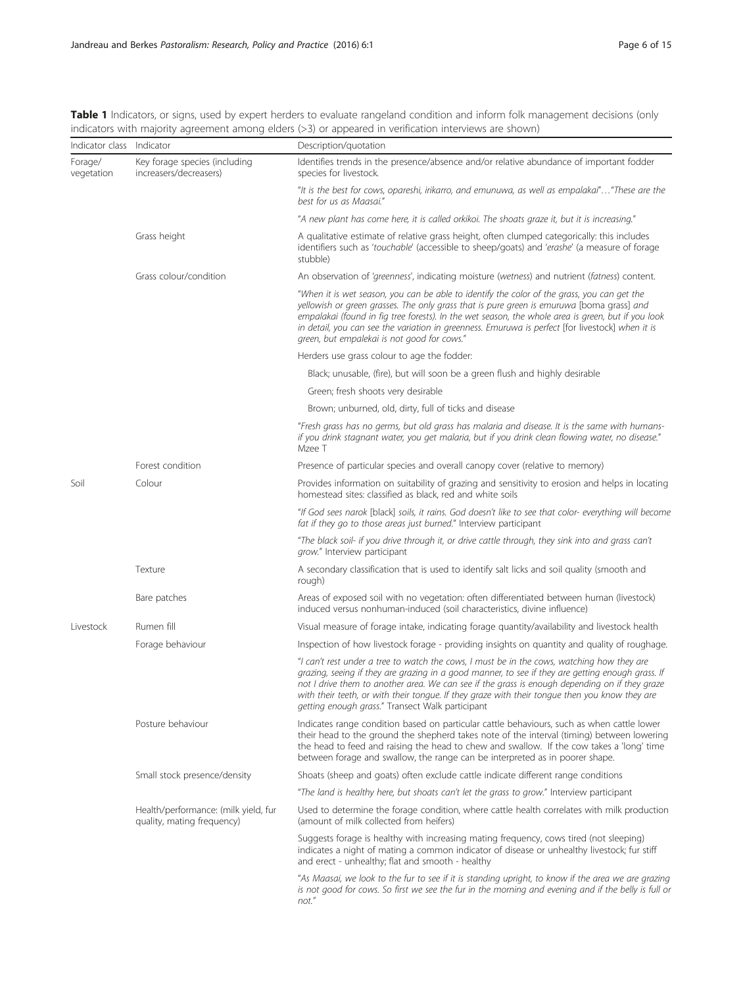<span id="page-5-0"></span>Table 1 Indicators, or signs, used by expert herders to evaluate rangeland condition and inform folk management decisions (only indicators with majority agreement among elders (>3) or appeared in verification interviews are shown)

| Indicator class       | Indicator                                                          | Description/quotation                                                                                                                                                                                                                                                                                                                                                                                                                                   |
|-----------------------|--------------------------------------------------------------------|---------------------------------------------------------------------------------------------------------------------------------------------------------------------------------------------------------------------------------------------------------------------------------------------------------------------------------------------------------------------------------------------------------------------------------------------------------|
| Forage/<br>vegetation | Key forage species (including<br>increasers/decreasers)            | Identifies trends in the presence/absence and/or relative abundance of important fodder<br>species for livestock.                                                                                                                                                                                                                                                                                                                                       |
|                       |                                                                    | "It is the best for cows, opareshi, irikarro, and emunuwa, as well as empalakai""These are the<br>best for us as Maasai."                                                                                                                                                                                                                                                                                                                               |
|                       |                                                                    | "A new plant has come here, it is called orkikoi. The shoats graze it, but it is increasing."                                                                                                                                                                                                                                                                                                                                                           |
|                       | Grass height                                                       | A qualitative estimate of relative grass height, often clumped categorically: this includes<br>identifiers such as 'touchable' (accessible to sheep/goats) and 'erashe' (a measure of forage<br>stubble)                                                                                                                                                                                                                                                |
|                       | Grass colour/condition                                             | An observation of 'greenness', indicating moisture (wetness) and nutrient (fatness) content.                                                                                                                                                                                                                                                                                                                                                            |
|                       |                                                                    | "When it is wet season, you can be able to identify the color of the grass, you can get the<br>yellowish or green grasses. The only grass that is pure green is emuruwa [boma grass] and<br>empalakai (found in fig tree forests). In the wet season, the whole area is green, but if you look<br>in detail, you can see the variation in greenness. Emuruwa is perfect [for livestock] when it is<br>green, but empalekai is not good for cows."       |
|                       |                                                                    | Herders use grass colour to age the fodder:                                                                                                                                                                                                                                                                                                                                                                                                             |
|                       |                                                                    | Black; unusable, (fire), but will soon be a green flush and highly desirable                                                                                                                                                                                                                                                                                                                                                                            |
|                       |                                                                    | Green; fresh shoots very desirable                                                                                                                                                                                                                                                                                                                                                                                                                      |
|                       |                                                                    | Brown; unburned, old, dirty, full of ticks and disease                                                                                                                                                                                                                                                                                                                                                                                                  |
|                       |                                                                    | "Fresh grass has no germs, but old grass has malaria and disease. It is the same with humans-<br>if you drink stagnant water, you get malaria, but if you drink clean flowing water, no disease."<br>Mzee T                                                                                                                                                                                                                                             |
|                       | Forest condition                                                   | Presence of particular species and overall canopy cover (relative to memory)                                                                                                                                                                                                                                                                                                                                                                            |
| Soil                  | Colour                                                             | Provides information on suitability of grazing and sensitivity to erosion and helps in locating<br>homestead sites: classified as black, red and white soils                                                                                                                                                                                                                                                                                            |
|                       |                                                                    | "If God sees narok [black] soils, it rains. God doesn't like to see that color- everything will become<br>fat if they go to those areas just burned." Interview participant                                                                                                                                                                                                                                                                             |
|                       |                                                                    | "The black soil- if you drive through it, or drive cattle through, they sink into and grass can't<br>grow." Interview participant                                                                                                                                                                                                                                                                                                                       |
|                       | Texture                                                            | A secondary classification that is used to identify salt licks and soil quality (smooth and<br>rough)                                                                                                                                                                                                                                                                                                                                                   |
|                       | Bare patches                                                       | Areas of exposed soil with no vegetation: often differentiated between human (livestock)<br>induced versus nonhuman-induced (soil characteristics, divine influence)                                                                                                                                                                                                                                                                                    |
| Livestock             | Rumen fill                                                         | Visual measure of forage intake, indicating forage quantity/availability and livestock health                                                                                                                                                                                                                                                                                                                                                           |
|                       | Forage behaviour                                                   | Inspection of how livestock forage - providing insights on quantity and quality of roughage.                                                                                                                                                                                                                                                                                                                                                            |
|                       |                                                                    | "I can't rest under a tree to watch the cows, I must be in the cows, watching how they are<br>grazing, seeing if they are grazing in a good manner, to see if they are getting enough grass. If<br>not I drive them to another area. We can see if the grass is enough depending on if they graze<br>with their teeth, or with their tongue. If they graze with their tongue then you know they are<br>getting enough grass." Transect Walk participant |
|                       | Posture behaviour                                                  | Indicates range condition based on particular cattle behaviours, such as when cattle lower<br>their head to the ground the shepherd takes note of the interval (timing) between lowering<br>the head to feed and raising the head to chew and swallow. If the cow takes a 'long' time<br>between forage and swallow, the range can be interpreted as in poorer shape.                                                                                   |
|                       | Small stock presence/density                                       | Shoats (sheep and goats) often exclude cattle indicate different range conditions                                                                                                                                                                                                                                                                                                                                                                       |
|                       |                                                                    | "The land is healthy here, but shoats can't let the grass to grow." Interview participant                                                                                                                                                                                                                                                                                                                                                               |
|                       | Health/performance: (milk yield, fur<br>quality, mating frequency) | Used to determine the forage condition, where cattle health correlates with milk production<br>(amount of milk collected from heifers)                                                                                                                                                                                                                                                                                                                  |
|                       |                                                                    | Suggests forage is healthy with increasing mating frequency, cows tired (not sleeping)<br>indicates a night of mating a common indicator of disease or unhealthy livestock; fur stiff<br>and erect - unhealthy; flat and smooth - healthy                                                                                                                                                                                                               |
|                       |                                                                    | "As Maasai, we look to the fur to see if it is standing upright, to know if the area we are grazing<br>is not good for cows. So first we see the fur in the morning and evening and if the belly is full or<br>not."                                                                                                                                                                                                                                    |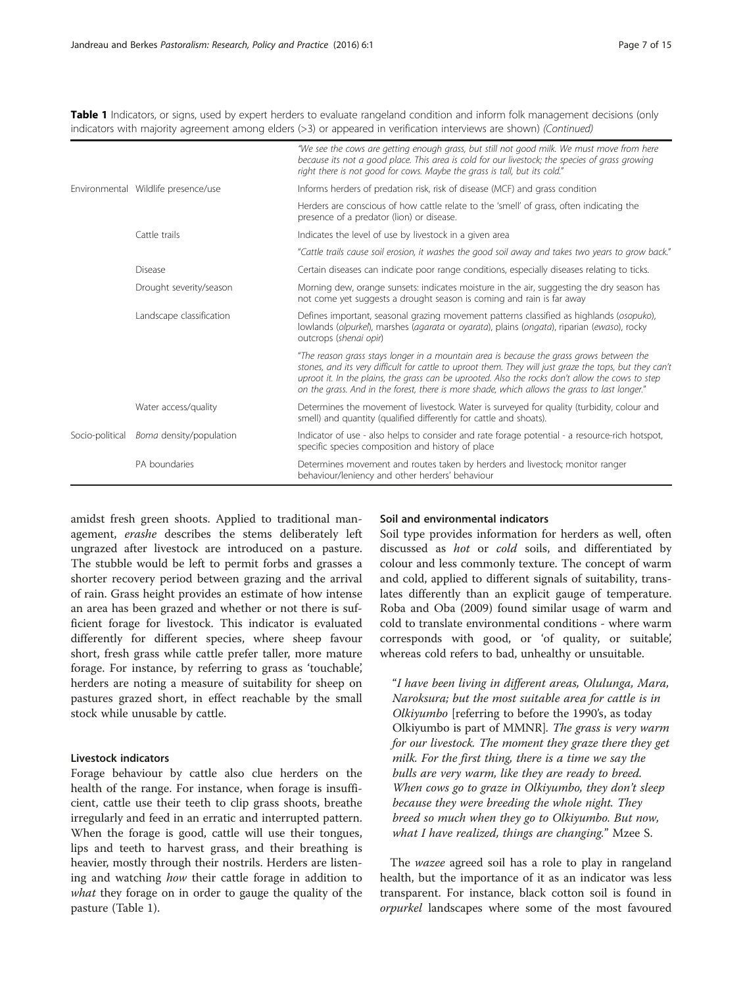Table 1 Indicators, or signs, used by expert herders to evaluate rangeland condition and inform folk management decisions (only indicators with majority agreement among elders (>3) or appeared in verification interviews are shown) (Continued)

|                 |                                     | "We see the cows are getting enough grass, but still not good milk. We must move from here<br>because its not a good place. This area is cold for our livestock; the species of grass growing<br>right there is not good for cows. Maybe the grass is tall, but its cold."                                                                                                                               |
|-----------------|-------------------------------------|----------------------------------------------------------------------------------------------------------------------------------------------------------------------------------------------------------------------------------------------------------------------------------------------------------------------------------------------------------------------------------------------------------|
|                 | Environmental Wildlife presence/use | Informs herders of predation risk, risk of disease (MCF) and grass condition                                                                                                                                                                                                                                                                                                                             |
|                 |                                     | Herders are conscious of how cattle relate to the 'smell' of grass, often indicating the<br>presence of a predator (lion) or disease.                                                                                                                                                                                                                                                                    |
|                 | Cattle trails                       | Indicates the level of use by livestock in a given area                                                                                                                                                                                                                                                                                                                                                  |
|                 |                                     | "Cattle trails cause soil erosion, it washes the good soil away and takes two years to grow back."                                                                                                                                                                                                                                                                                                       |
|                 | <b>Disease</b>                      | Certain diseases can indicate poor range conditions, especially diseases relating to ticks.                                                                                                                                                                                                                                                                                                              |
|                 | Drought severity/season             | Morning dew, orange sunsets: indicates moisture in the air, suggesting the dry season has<br>not come yet suggests a drought season is coming and rain is far away                                                                                                                                                                                                                                       |
|                 | Landscape classification            | Defines important, seasonal grazing movement patterns classified as highlands (osopuko),<br>lowlands (olpurkel), marshes (agarata or oyarata), plains (ongata), riparian (ewaso), rocky<br>outcrops (shenai opir)                                                                                                                                                                                        |
|                 |                                     | "The reason grass stays longer in a mountain area is because the grass grows between the<br>stones, and its very difficult for cattle to uproot them. They will just graze the tops, but they can't<br>uproot it. In the plains, the grass can be uprooted. Also the rocks don't allow the cows to step<br>on the grass. And in the forest, there is more shade, which allows the grass to last longer." |
|                 | Water access/quality                | Determines the movement of livestock. Water is surveyed for quality (turbidity, colour and<br>smell) and quantity (qualified differently for cattle and shoats).                                                                                                                                                                                                                                         |
| Socio-political | Boma density/population             | Indicator of use - also helps to consider and rate forage potential - a resource-rich hotspot,<br>specific species composition and history of place                                                                                                                                                                                                                                                      |
|                 | PA boundaries                       | Determines movement and routes taken by herders and livestock; monitor ranger<br>behaviour/leniency and other herders' behaviour                                                                                                                                                                                                                                                                         |

amidst fresh green shoots. Applied to traditional management, erashe describes the stems deliberately left ungrazed after livestock are introduced on a pasture. The stubble would be left to permit forbs and grasses a shorter recovery period between grazing and the arrival of rain. Grass height provides an estimate of how intense an area has been grazed and whether or not there is sufficient forage for livestock. This indicator is evaluated differently for different species, where sheep favour short, fresh grass while cattle prefer taller, more mature forage. For instance, by referring to grass as 'touchable', herders are noting a measure of suitability for sheep on pastures grazed short, in effect reachable by the small stock while unusable by cattle.

#### Livestock indicators

Forage behaviour by cattle also clue herders on the health of the range. For instance, when forage is insufficient, cattle use their teeth to clip grass shoots, breathe irregularly and feed in an erratic and interrupted pattern. When the forage is good, cattle will use their tongues, lips and teeth to harvest grass, and their breathing is heavier, mostly through their nostrils. Herders are listening and watching how their cattle forage in addition to what they forage on in order to gauge the quality of the pasture (Table [1\)](#page-5-0).

#### Soil and environmental indicators

Soil type provides information for herders as well, often discussed as hot or cold soils, and differentiated by colour and less commonly texture. The concept of warm and cold, applied to different signals of suitability, translates differently than an explicit gauge of temperature. Roba and Oba [\(2009\)](#page-14-0) found similar usage of warm and cold to translate environmental conditions - where warm corresponds with good, or 'of quality, or suitable', whereas cold refers to bad, unhealthy or unsuitable.

"I have been living in different areas, Olulunga, Mara, Naroksura; but the most suitable area for cattle is in Olkiyumbo [referring to before the 1990's, as today Olkiyumbo is part of MMNR]. The grass is very warm for our livestock. The moment they graze there they get milk. For the first thing, there is a time we say the bulls are very warm, like they are ready to breed. When cows go to graze in Olkiyumbo, they don't sleep because they were breeding the whole night. They breed so much when they go to Olkiyumbo. But now, what I have realized, things are changing." Mzee S.

The wazee agreed soil has a role to play in rangeland health, but the importance of it as an indicator was less transparent. For instance, black cotton soil is found in orpurkel landscapes where some of the most favoured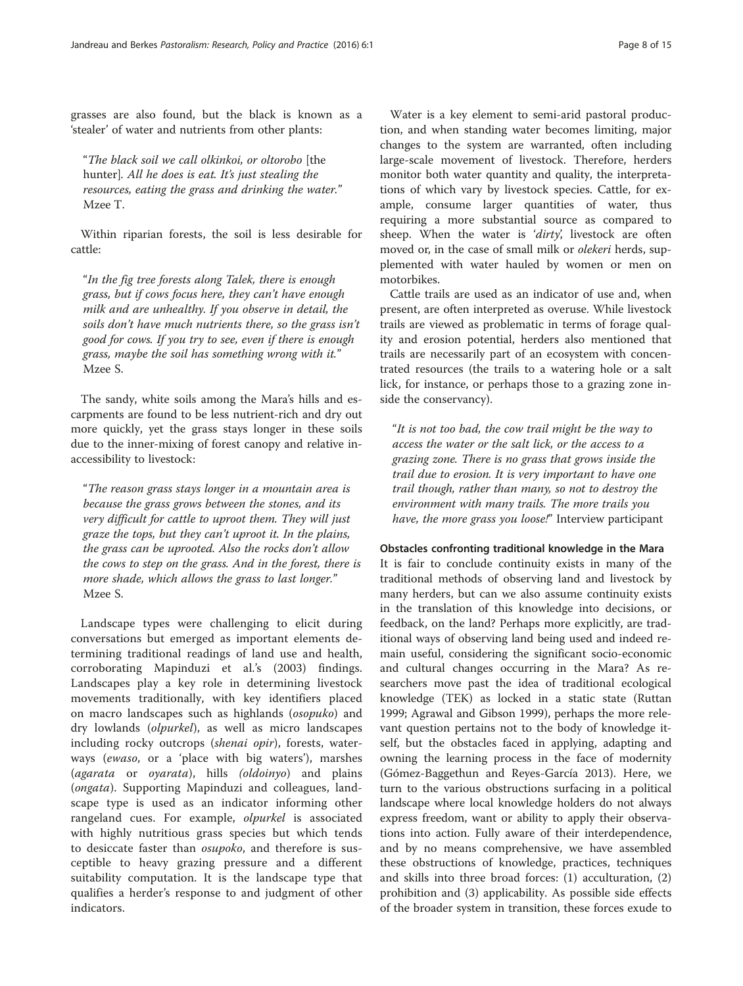grasses are also found, but the black is known as a 'stealer' of water and nutrients from other plants:

"The black soil we call olkinkoi, or oltorobo [the hunter]. All he does is eat. It's just stealing the resources, eating the grass and drinking the water." Mzee T.

Within riparian forests, the soil is less desirable for cattle:

"In the fig tree forests along Talek, there is enough grass, but if cows focus here, they can't have enough milk and are unhealthy. If you observe in detail, the soils don't have much nutrients there, so the grass isn't good for cows. If you try to see, even if there is enough grass, maybe the soil has something wrong with it." Mzee S.

The sandy, white soils among the Mara's hills and escarpments are found to be less nutrient-rich and dry out more quickly, yet the grass stays longer in these soils due to the inner-mixing of forest canopy and relative inaccessibility to livestock:

"The reason grass stays longer in a mountain area is because the grass grows between the stones, and its very difficult for cattle to uproot them. They will just graze the tops, but they can't uproot it. In the plains, the grass can be uprooted. Also the rocks don't allow the cows to step on the grass. And in the forest, there is more shade, which allows the grass to last longer." Mzee S.

Landscape types were challenging to elicit during conversations but emerged as important elements determining traditional readings of land use and health, corroborating Mapinduzi et al.'s [\(2003](#page-13-0)) findings. Landscapes play a key role in determining livestock movements traditionally, with key identifiers placed on macro landscapes such as highlands (osopuko) and dry lowlands (olpurkel), as well as micro landscapes including rocky outcrops (shenai opir), forests, waterways (ewaso, or a 'place with big waters'), marshes (agarata or oyarata), hills (oldoinyo) and plains (ongata). Supporting Mapinduzi and colleagues, landscape type is used as an indicator informing other rangeland cues. For example, *olpurkel* is associated with highly nutritious grass species but which tends to desiccate faster than osupoko, and therefore is susceptible to heavy grazing pressure and a different suitability computation. It is the landscape type that qualifies a herder's response to and judgment of other indicators.

Water is a key element to semi-arid pastoral production, and when standing water becomes limiting, major changes to the system are warranted, often including large-scale movement of livestock. Therefore, herders monitor both water quantity and quality, the interpretations of which vary by livestock species. Cattle, for example, consume larger quantities of water, thus requiring a more substantial source as compared to sheep. When the water is 'dirty', livestock are often moved or, in the case of small milk or *olekeri* herds, supplemented with water hauled by women or men on motorbikes.

Cattle trails are used as an indicator of use and, when present, are often interpreted as overuse. While livestock trails are viewed as problematic in terms of forage quality and erosion potential, herders also mentioned that trails are necessarily part of an ecosystem with concentrated resources (the trails to a watering hole or a salt lick, for instance, or perhaps those to a grazing zone inside the conservancy).

"It is not too bad, the cow trail might be the way to access the water or the salt lick, or the access to a grazing zone. There is no grass that grows inside the trail due to erosion. It is very important to have one trail though, rather than many, so not to destroy the environment with many trails. The more trails you have, the more grass you loose!" Interview participant

#### Obstacles confronting traditional knowledge in the Mara

It is fair to conclude continuity exists in many of the traditional methods of observing land and livestock by many herders, but can we also assume continuity exists in the translation of this knowledge into decisions, or feedback, on the land? Perhaps more explicitly, are traditional ways of observing land being used and indeed remain useful, considering the significant socio-economic and cultural changes occurring in the Mara? As researchers move past the idea of traditional ecological knowledge (TEK) as locked in a static state (Ruttan [1999](#page-14-0); Agrawal and Gibson [1999](#page-13-0)), perhaps the more relevant question pertains not to the body of knowledge itself, but the obstacles faced in applying, adapting and owning the learning process in the face of modernity (Gómez-Baggethun and Reyes-García [2013\)](#page-13-0). Here, we turn to the various obstructions surfacing in a political landscape where local knowledge holders do not always express freedom, want or ability to apply their observations into action. Fully aware of their interdependence, and by no means comprehensive, we have assembled these obstructions of knowledge, practices, techniques and skills into three broad forces: (1) acculturation, (2) prohibition and (3) applicability. As possible side effects of the broader system in transition, these forces exude to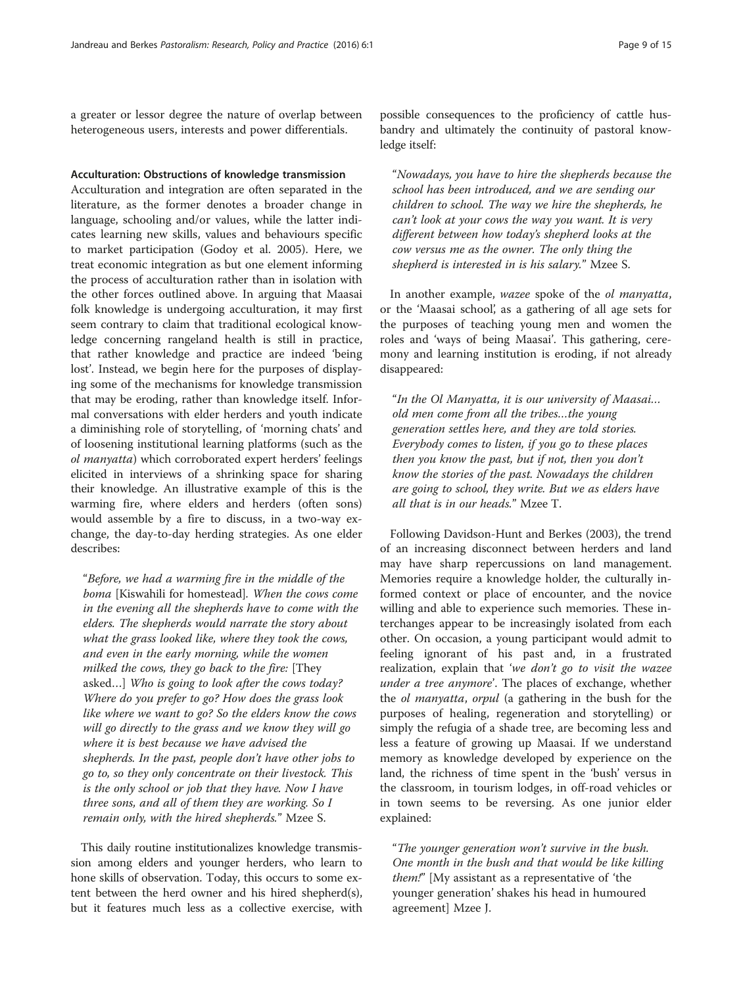a greater or lessor degree the nature of overlap between heterogeneous users, interests and power differentials.

#### Acculturation: Obstructions of knowledge transmission

Acculturation and integration are often separated in the literature, as the former denotes a broader change in language, schooling and/or values, while the latter indicates learning new skills, values and behaviours specific to market participation (Godoy et al. [2005\)](#page-13-0). Here, we treat economic integration as but one element informing the process of acculturation rather than in isolation with the other forces outlined above. In arguing that Maasai folk knowledge is undergoing acculturation, it may first seem contrary to claim that traditional ecological knowledge concerning rangeland health is still in practice, that rather knowledge and practice are indeed 'being lost'. Instead, we begin here for the purposes of displaying some of the mechanisms for knowledge transmission that may be eroding, rather than knowledge itself. Informal conversations with elder herders and youth indicate a diminishing role of storytelling, of 'morning chats' and of loosening institutional learning platforms (such as the ol manyatta) which corroborated expert herders' feelings elicited in interviews of a shrinking space for sharing their knowledge. An illustrative example of this is the warming fire, where elders and herders (often sons) would assemble by a fire to discuss, in a two-way exchange, the day-to-day herding strategies. As one elder describes:

"Before, we had a warming fire in the middle of the boma [Kiswahili for homestead]. When the cows come in the evening all the shepherds have to come with the elders. The shepherds would narrate the story about what the grass looked like, where they took the cows, and even in the early morning, while the women milked the cows, they go back to the fire: [They asked…] Who is going to look after the cows today? Where do you prefer to go? How does the grass look like where we want to go? So the elders know the cows will go directly to the grass and we know they will go where it is best because we have advised the shepherds. In the past, people don't have other jobs to go to, so they only concentrate on their livestock. This is the only school or job that they have. Now I have three sons, and all of them they are working. So I remain only, with the hired shepherds." Mzee S.

This daily routine institutionalizes knowledge transmission among elders and younger herders, who learn to hone skills of observation. Today, this occurs to some extent between the herd owner and his hired shepherd(s), but it features much less as a collective exercise, with

possible consequences to the proficiency of cattle husbandry and ultimately the continuity of pastoral knowledge itself:

"Nowadays, you have to hire the shepherds because the school has been introduced, and we are sending our children to school. The way we hire the shepherds, he can't look at your cows the way you want. It is very different between how today's shepherd looks at the cow versus me as the owner. The only thing the shepherd is interested in is his salary." Mzee S.

In another example, wazee spoke of the ol manyatta, or the 'Maasai school', as a gathering of all age sets for the purposes of teaching young men and women the roles and 'ways of being Maasai'. This gathering, ceremony and learning institution is eroding, if not already disappeared:

"In the Ol Manyatta, it is our university of Maasai… old men come from all the tribes…the young generation settles here, and they are told stories. Everybody comes to listen, if you go to these places then you know the past, but if not, then you don't know the stories of the past. Nowadays the children are going to school, they write. But we as elders have all that is in our heads." Mzee T.

Following Davidson-Hunt and Berkes ([2003\)](#page-13-0), the trend of an increasing disconnect between herders and land may have sharp repercussions on land management. Memories require a knowledge holder, the culturally informed context or place of encounter, and the novice willing and able to experience such memories. These interchanges appear to be increasingly isolated from each other. On occasion, a young participant would admit to feeling ignorant of his past and, in a frustrated realization, explain that 'we don't go to visit the wazee under a tree anymore'. The places of exchange, whether the ol manyatta, orpul (a gathering in the bush for the purposes of healing, regeneration and storytelling) or simply the refugia of a shade tree, are becoming less and less a feature of growing up Maasai. If we understand memory as knowledge developed by experience on the land, the richness of time spent in the 'bush' versus in the classroom, in tourism lodges, in off-road vehicles or in town seems to be reversing. As one junior elder explained:

"The younger generation won't survive in the bush. One month in the bush and that would be like killing them!" [My assistant as a representative of 'the younger generation' shakes his head in humoured agreement] Mzee J.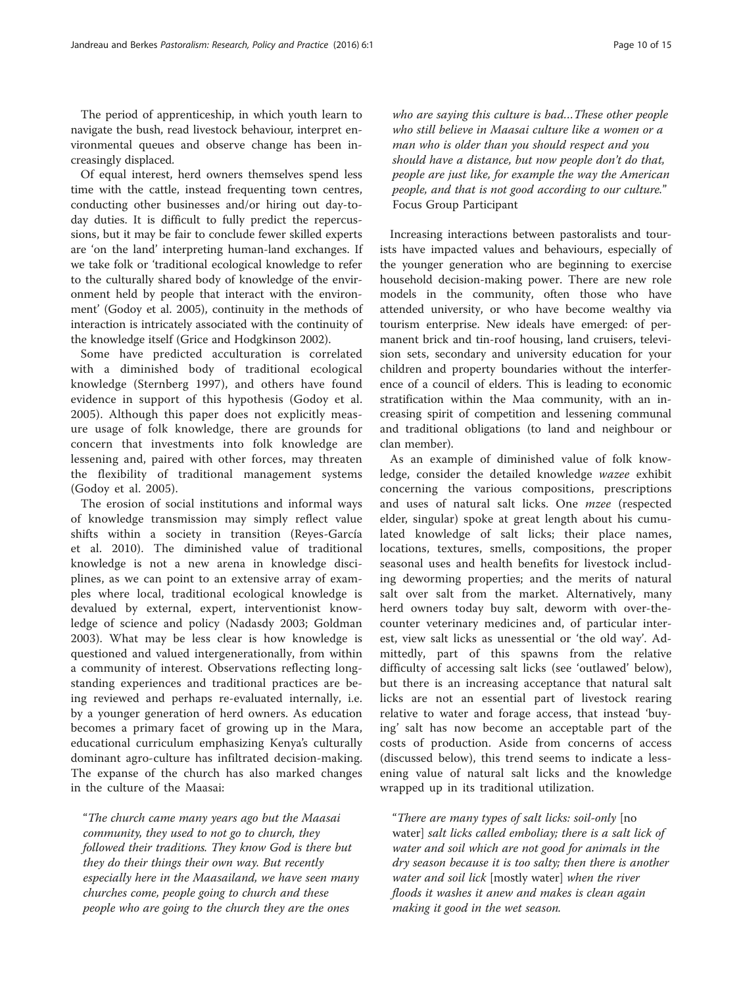The period of apprenticeship, in which youth learn to navigate the bush, read livestock behaviour, interpret environmental queues and observe change has been increasingly displaced.

Of equal interest, herd owners themselves spend less time with the cattle, instead frequenting town centres, conducting other businesses and/or hiring out day-today duties. It is difficult to fully predict the repercussions, but it may be fair to conclude fewer skilled experts are 'on the land' interpreting human-land exchanges. If we take folk or 'traditional ecological knowledge to refer to the culturally shared body of knowledge of the environment held by people that interact with the environment' (Godoy et al. [2005](#page-13-0)), continuity in the methods of interaction is intricately associated with the continuity of the knowledge itself (Grice and Hodgkinson [2002](#page-13-0)).

Some have predicted acculturation is correlated with a diminished body of traditional ecological knowledge (Sternberg [1997](#page-14-0)), and others have found evidence in support of this hypothesis (Godoy et al. [2005\)](#page-13-0). Although this paper does not explicitly measure usage of folk knowledge, there are grounds for concern that investments into folk knowledge are lessening and, paired with other forces, may threaten the flexibility of traditional management systems (Godoy et al. [2005](#page-13-0)).

The erosion of social institutions and informal ways of knowledge transmission may simply reflect value shifts within a society in transition (Reyes-García et al. [2010\)](#page-14-0). The diminished value of traditional knowledge is not a new arena in knowledge disciplines, as we can point to an extensive array of examples where local, traditional ecological knowledge is devalued by external, expert, interventionist knowledge of science and policy (Nadasdy [2003;](#page-13-0) Goldman [2003\)](#page-13-0). What may be less clear is how knowledge is questioned and valued intergenerationally, from within a community of interest. Observations reflecting longstanding experiences and traditional practices are being reviewed and perhaps re-evaluated internally, i.e. by a younger generation of herd owners. As education becomes a primary facet of growing up in the Mara, educational curriculum emphasizing Kenya's culturally dominant agro-culture has infiltrated decision-making. The expanse of the church has also marked changes in the culture of the Maasai:

"The church came many years ago but the Maasai community, they used to not go to church, they followed their traditions. They know God is there but they do their things their own way. But recently especially here in the Maasailand, we have seen many churches come, people going to church and these people who are going to the church they are the ones

who are saying this culture is bad…These other people who still believe in Maasai culture like a women or a man who is older than you should respect and you should have a distance, but now people don't do that, people are just like, for example the way the American people, and that is not good according to our culture." Focus Group Participant

Increasing interactions between pastoralists and tourists have impacted values and behaviours, especially of the younger generation who are beginning to exercise household decision-making power. There are new role models in the community, often those who have attended university, or who have become wealthy via tourism enterprise. New ideals have emerged: of permanent brick and tin-roof housing, land cruisers, television sets, secondary and university education for your children and property boundaries without the interference of a council of elders. This is leading to economic stratification within the Maa community, with an increasing spirit of competition and lessening communal and traditional obligations (to land and neighbour or clan member).

As an example of diminished value of folk knowledge, consider the detailed knowledge wazee exhibit concerning the various compositions, prescriptions and uses of natural salt licks. One mzee (respected elder, singular) spoke at great length about his cumulated knowledge of salt licks; their place names, locations, textures, smells, compositions, the proper seasonal uses and health benefits for livestock including deworming properties; and the merits of natural salt over salt from the market. Alternatively, many herd owners today buy salt, deworm with over-thecounter veterinary medicines and, of particular interest, view salt licks as unessential or 'the old way'. Admittedly, part of this spawns from the relative difficulty of accessing salt licks (see 'outlawed' below), but there is an increasing acceptance that natural salt licks are not an essential part of livestock rearing relative to water and forage access, that instead 'buying' salt has now become an acceptable part of the costs of production. Aside from concerns of access (discussed below), this trend seems to indicate a lessening value of natural salt licks and the knowledge wrapped up in its traditional utilization.

"There are many types of salt licks: soil-only [no water] salt licks called emboliay; there is a salt lick of water and soil which are not good for animals in the dry season because it is too salty; then there is another water and soil lick [mostly water] when the river floods it washes it anew and makes is clean again making it good in the wet season.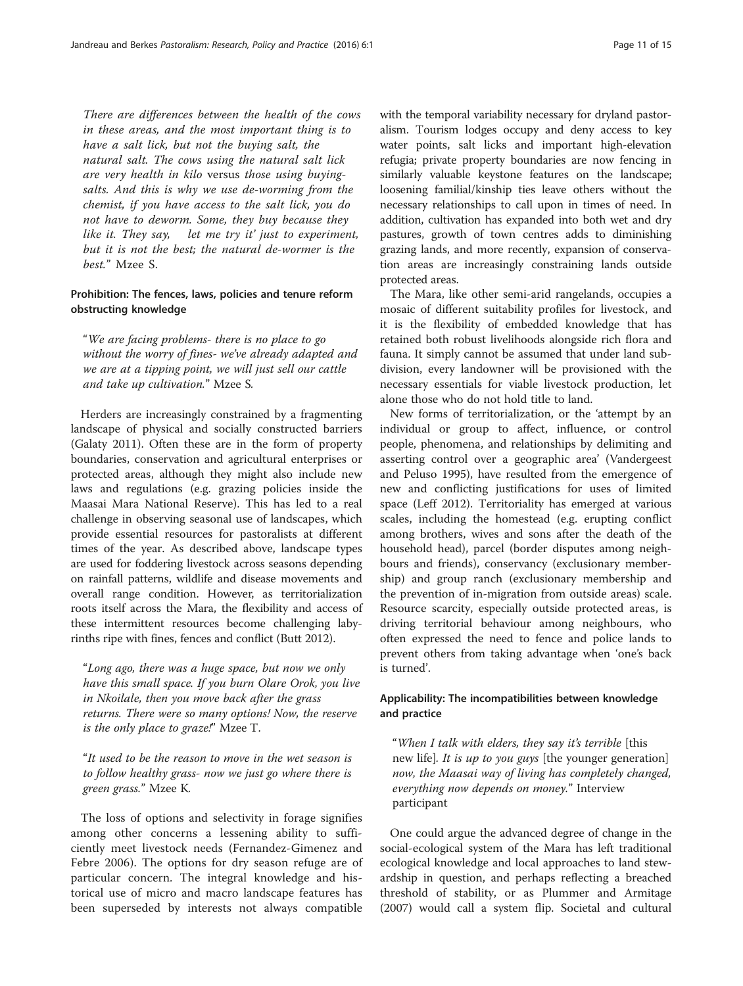There are differences between the health of the cows in these areas, and the most important thing is to have a salt lick, but not the buying salt, the natural salt. The cows using the natural salt lick are very health in kilo versus those using buyingsalts. And this is why we use de-worming from the chemist, if you have access to the salt lick, you do not have to deworm. Some, they buy because they like it. They say, let me try it' just to experiment, but it is not the best; the natural de-wormer is the best." Mzee S.

### Prohibition: The fences, laws, policies and tenure reform obstructing knowledge

"We are facing problems- there is no place to go without the worry of fines- we've already adapted and we are at a tipping point, we will just sell our cattle and take up cultivation." Mzee S.

Herders are increasingly constrained by a fragmenting landscape of physical and socially constructed barriers (Galaty [2011\)](#page-13-0). Often these are in the form of property boundaries, conservation and agricultural enterprises or protected areas, although they might also include new laws and regulations (e.g. grazing policies inside the Maasai Mara National Reserve). This has led to a real challenge in observing seasonal use of landscapes, which provide essential resources for pastoralists at different times of the year. As described above, landscape types are used for foddering livestock across seasons depending on rainfall patterns, wildlife and disease movements and overall range condition. However, as territorialization roots itself across the Mara, the flexibility and access of these intermittent resources become challenging labyrinths ripe with fines, fences and conflict (Butt [2012\)](#page-13-0).

"Long ago, there was a huge space, but now we only have this small space. If you burn Olare Orok, you live in Nkoilale, then you move back after the grass returns. There were so many options! Now, the reserve is the only place to graze." Mzee T.

"It used to be the reason to move in the wet season is to follow healthy grass- now we just go where there is green grass." Mzee K.

The loss of options and selectivity in forage signifies among other concerns a lessening ability to sufficiently meet livestock needs (Fernandez-Gimenez and Febre [2006](#page-13-0)). The options for dry season refuge are of particular concern. The integral knowledge and historical use of micro and macro landscape features has been superseded by interests not always compatible with the temporal variability necessary for dryland pastoralism. Tourism lodges occupy and deny access to key water points, salt licks and important high-elevation refugia; private property boundaries are now fencing in similarly valuable keystone features on the landscape; loosening familial/kinship ties leave others without the necessary relationships to call upon in times of need. In addition, cultivation has expanded into both wet and dry pastures, growth of town centres adds to diminishing grazing lands, and more recently, expansion of conservation areas are increasingly constraining lands outside protected areas.

The Mara, like other semi-arid rangelands, occupies a mosaic of different suitability profiles for livestock, and it is the flexibility of embedded knowledge that has retained both robust livelihoods alongside rich flora and fauna. It simply cannot be assumed that under land subdivision, every landowner will be provisioned with the necessary essentials for viable livestock production, let alone those who do not hold title to land.

New forms of territorialization, or the 'attempt by an individual or group to affect, influence, or control people, phenomena, and relationships by delimiting and asserting control over a geographic area' (Vandergeest and Peluso [1995\)](#page-14-0), have resulted from the emergence of new and conflicting justifications for uses of limited space (Leff [2012\)](#page-13-0). Territoriality has emerged at various scales, including the homestead (e.g. erupting conflict among brothers, wives and sons after the death of the household head), parcel (border disputes among neighbours and friends), conservancy (exclusionary membership) and group ranch (exclusionary membership and the prevention of in-migration from outside areas) scale. Resource scarcity, especially outside protected areas, is driving territorial behaviour among neighbours, who often expressed the need to fence and police lands to prevent others from taking advantage when 'one's back is turned'.

#### Applicability: The incompatibilities between knowledge and practice

"When I talk with elders, they say it's terrible [this new life]. It is up to you guys [the younger generation] now, the Maasai way of living has completely changed, everything now depends on money." Interview participant

One could argue the advanced degree of change in the social-ecological system of the Mara has left traditional ecological knowledge and local approaches to land stewardship in question, and perhaps reflecting a breached threshold of stability, or as Plummer and Armitage ([2007\)](#page-14-0) would call a system flip. Societal and cultural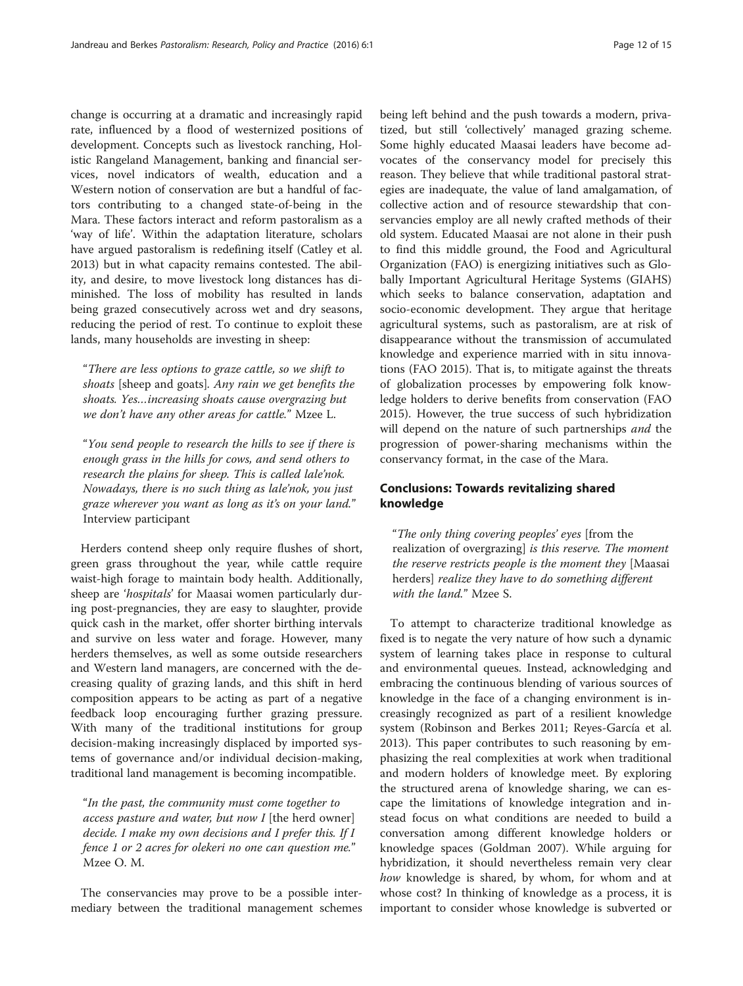change is occurring at a dramatic and increasingly rapid rate, influenced by a flood of westernized positions of development. Concepts such as livestock ranching, Holistic Rangeland Management, banking and financial services, novel indicators of wealth, education and a Western notion of conservation are but a handful of factors contributing to a changed state-of-being in the Mara. These factors interact and reform pastoralism as a 'way of life'. Within the adaptation literature, scholars have argued pastoralism is redefining itself (Catley et al. [2013](#page-13-0)) but in what capacity remains contested. The ability, and desire, to move livestock long distances has diminished. The loss of mobility has resulted in lands being grazed consecutively across wet and dry seasons, reducing the period of rest. To continue to exploit these lands, many households are investing in sheep:

"There are less options to graze cattle, so we shift to shoats [sheep and goats]. Any rain we get benefits the shoats. Yes…increasing shoats cause overgrazing but we don't have any other areas for cattle." Mzee L.

"You send people to research the hills to see if there is enough grass in the hills for cows, and send others to research the plains for sheep. This is called lale'nok. Nowadays, there is no such thing as lale'nok, you just graze wherever you want as long as it's on your land." Interview participant

Herders contend sheep only require flushes of short, green grass throughout the year, while cattle require waist-high forage to maintain body health. Additionally, sheep are 'hospitals' for Maasai women particularly during post-pregnancies, they are easy to slaughter, provide quick cash in the market, offer shorter birthing intervals and survive on less water and forage. However, many herders themselves, as well as some outside researchers and Western land managers, are concerned with the decreasing quality of grazing lands, and this shift in herd composition appears to be acting as part of a negative feedback loop encouraging further grazing pressure. With many of the traditional institutions for group decision-making increasingly displaced by imported systems of governance and/or individual decision-making, traditional land management is becoming incompatible.

"In the past, the community must come together to access pasture and water, but now  $I$  [the herd owner] decide. I make my own decisions and I prefer this. If I fence 1 or 2 acres for olekeri no one can question me." Mzee O. M.

The conservancies may prove to be a possible intermediary between the traditional management schemes

being left behind and the push towards a modern, privatized, but still 'collectively' managed grazing scheme. Some highly educated Maasai leaders have become advocates of the conservancy model for precisely this reason. They believe that while traditional pastoral strategies are inadequate, the value of land amalgamation, of collective action and of resource stewardship that conservancies employ are all newly crafted methods of their old system. Educated Maasai are not alone in their push to find this middle ground, the Food and Agricultural Organization (FAO) is energizing initiatives such as Globally Important Agricultural Heritage Systems (GIAHS) which seeks to balance conservation, adaptation and socio-economic development. They argue that heritage agricultural systems, such as pastoralism, are at risk of disappearance without the transmission of accumulated knowledge and experience married with in situ innovations (FAO [2015](#page-13-0)). That is, to mitigate against the threats of globalization processes by empowering folk knowledge holders to derive benefits from conservation (FAO [2015](#page-13-0)). However, the true success of such hybridization will depend on the nature of such partnerships *and* the progression of power-sharing mechanisms within the conservancy format, in the case of the Mara.

# Conclusions: Towards revitalizing shared knowledge

"The only thing covering peoples' eyes [from the realization of overgrazing] is this reserve. The moment the reserve restricts people is the moment they [Maasai herders] realize they have to do something different with the land." Mzee S.

To attempt to characterize traditional knowledge as fixed is to negate the very nature of how such a dynamic system of learning takes place in response to cultural and environmental queues. Instead, acknowledging and embracing the continuous blending of various sources of knowledge in the face of a changing environment is increasingly recognized as part of a resilient knowledge system (Robinson and Berkes [2011](#page-14-0); Reyes-García et al. [2013](#page-14-0)). This paper contributes to such reasoning by emphasizing the real complexities at work when traditional and modern holders of knowledge meet. By exploring the structured arena of knowledge sharing, we can escape the limitations of knowledge integration and instead focus on what conditions are needed to build a conversation among different knowledge holders or knowledge spaces (Goldman [2007\)](#page-13-0). While arguing for hybridization, it should nevertheless remain very clear how knowledge is shared, by whom, for whom and at whose cost? In thinking of knowledge as a process, it is important to consider whose knowledge is subverted or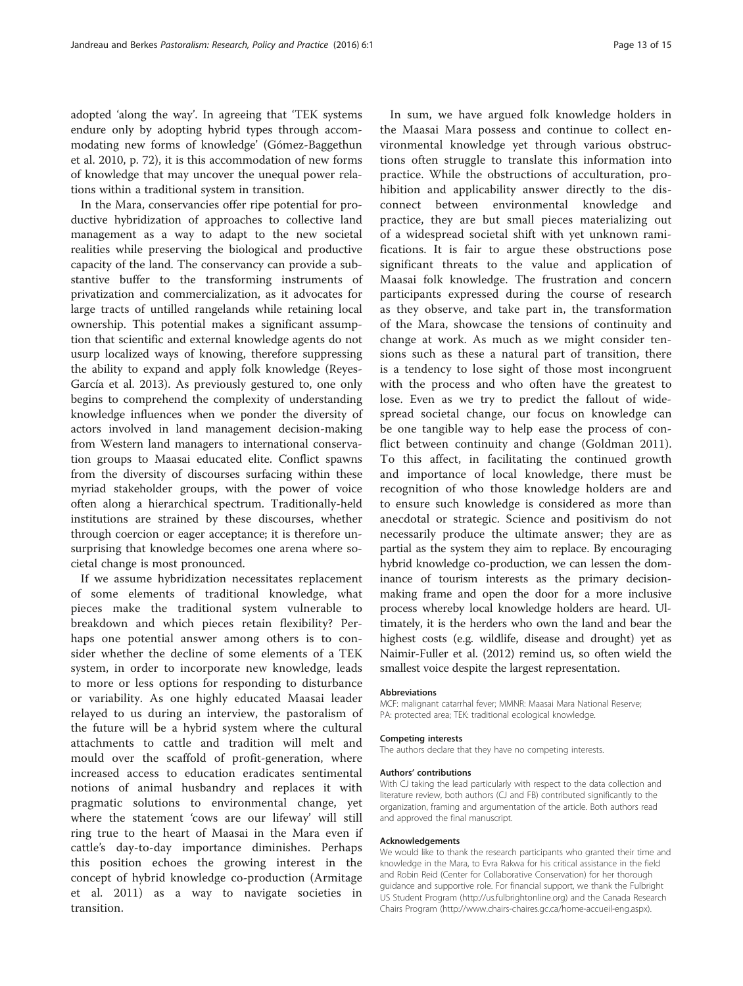adopted 'along the way'. In agreeing that 'TEK systems endure only by adopting hybrid types through accommodating new forms of knowledge' (Gómez-Baggethun et al. [2010,](#page-13-0) p. 72), it is this accommodation of new forms of knowledge that may uncover the unequal power relations within a traditional system in transition.

In the Mara, conservancies offer ripe potential for productive hybridization of approaches to collective land management as a way to adapt to the new societal realities while preserving the biological and productive capacity of the land. The conservancy can provide a substantive buffer to the transforming instruments of privatization and commercialization, as it advocates for large tracts of untilled rangelands while retaining local ownership. This potential makes a significant assumption that scientific and external knowledge agents do not usurp localized ways of knowing, therefore suppressing the ability to expand and apply folk knowledge (Reyes-García et al. [2013\)](#page-14-0). As previously gestured to, one only begins to comprehend the complexity of understanding knowledge influences when we ponder the diversity of actors involved in land management decision-making from Western land managers to international conservation groups to Maasai educated elite. Conflict spawns from the diversity of discourses surfacing within these myriad stakeholder groups, with the power of voice often along a hierarchical spectrum. Traditionally-held institutions are strained by these discourses, whether through coercion or eager acceptance; it is therefore unsurprising that knowledge becomes one arena where societal change is most pronounced.

If we assume hybridization necessitates replacement of some elements of traditional knowledge, what pieces make the traditional system vulnerable to breakdown and which pieces retain flexibility? Perhaps one potential answer among others is to consider whether the decline of some elements of a TEK system, in order to incorporate new knowledge, leads to more or less options for responding to disturbance or variability. As one highly educated Maasai leader relayed to us during an interview, the pastoralism of the future will be a hybrid system where the cultural attachments to cattle and tradition will melt and mould over the scaffold of profit-generation, where increased access to education eradicates sentimental notions of animal husbandry and replaces it with pragmatic solutions to environmental change, yet where the statement 'cows are our lifeway' will still ring true to the heart of Maasai in the Mara even if cattle's day-to-day importance diminishes. Perhaps this position echoes the growing interest in the concept of hybrid knowledge co-production (Armitage et al. [2011](#page-13-0)) as a way to navigate societies in transition.

In sum, we have argued folk knowledge holders in the Maasai Mara possess and continue to collect environmental knowledge yet through various obstructions often struggle to translate this information into practice. While the obstructions of acculturation, prohibition and applicability answer directly to the disconnect between environmental knowledge and practice, they are but small pieces materializing out of a widespread societal shift with yet unknown ramifications. It is fair to argue these obstructions pose significant threats to the value and application of Maasai folk knowledge. The frustration and concern participants expressed during the course of research as they observe, and take part in, the transformation of the Mara, showcase the tensions of continuity and change at work. As much as we might consider tensions such as these a natural part of transition, there is a tendency to lose sight of those most incongruent with the process and who often have the greatest to lose. Even as we try to predict the fallout of widespread societal change, our focus on knowledge can be one tangible way to help ease the process of conflict between continuity and change (Goldman [2011](#page-13-0)). To this affect, in facilitating the continued growth and importance of local knowledge, there must be recognition of who those knowledge holders are and to ensure such knowledge is considered as more than anecdotal or strategic. Science and positivism do not necessarily produce the ultimate answer; they are as partial as the system they aim to replace. By encouraging hybrid knowledge co-production, we can lessen the dominance of tourism interests as the primary decisionmaking frame and open the door for a more inclusive process whereby local knowledge holders are heard. Ultimately, it is the herders who own the land and bear the highest costs (e.g. wildlife, disease and drought) yet as Naimir-Fuller et al. [\(2012](#page-13-0)) remind us, so often wield the smallest voice despite the largest representation.

#### Abbreviations

MCF: malignant catarrhal fever; MMNR: Maasai Mara National Reserve; PA: protected area; TEK: traditional ecological knowledge.

#### Competing interests

The authors declare that they have no competing interests.

#### Authors' contributions

With CJ taking the lead particularly with respect to the data collection and literature review, both authors (CJ and FB) contributed significantly to the organization, framing and argumentation of the article. Both authors read and approved the final manuscript.

#### Acknowledgements

We would like to thank the research participants who granted their time and knowledge in the Mara, to Evra Rakwa for his critical assistance in the field and Robin Reid (Center for Collaborative Conservation) for her thorough guidance and supportive role. For financial support, we thank the Fulbright US Student Program ([http://us.fulbrightonline.org](http://us.fulbrightonline.org/)) and the Canada Research Chairs Program (<http://www.chairs-chaires.gc.ca/home-accueil-eng.aspx>).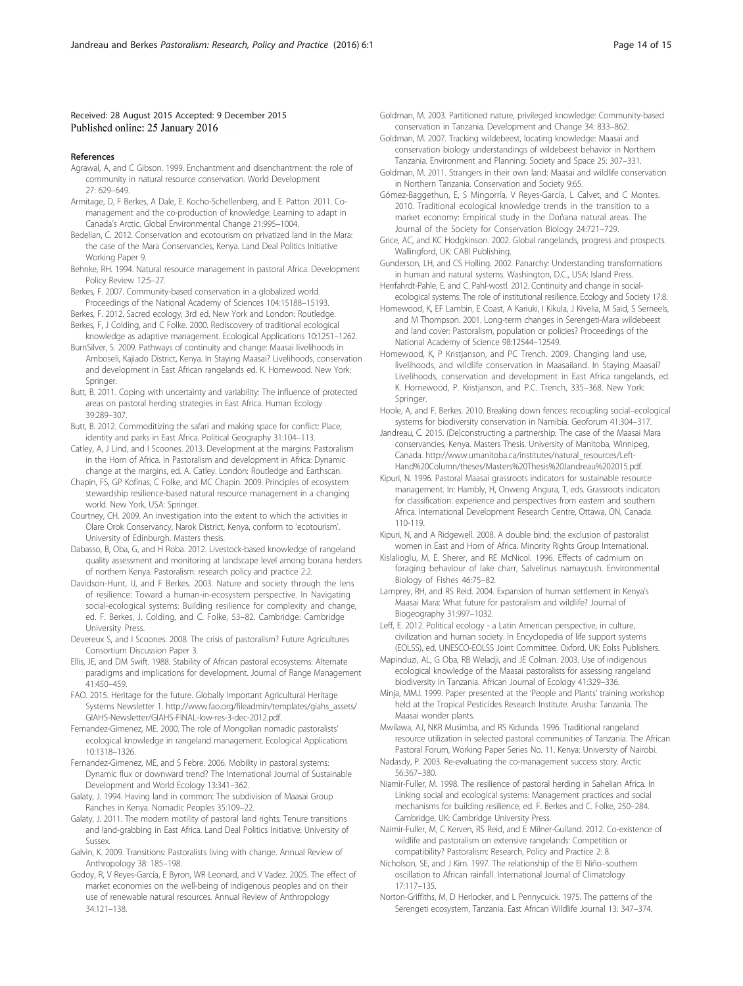#### <span id="page-13-0"></span>Received: 28 August 2015 Accepted: 9 December 2015 Published online: 25 January 2016

#### References

- Agrawal, A, and C Gibson. 1999. Enchantment and disenchantment: the role of community in natural resource conservation. World Development 27: 629–649.
- Armitage, D, F Berkes, A Dale, E. Kocho-Schellenberg, and E. Patton. 2011. Comanagement and the co-production of knowledge: Learning to adapt in Canada's Arctic. Global Environmental Change 21:995–1004.
- Bedelian, C. 2012. Conservation and ecotourism on privatized land in the Mara: the case of the Mara Conservancies, Kenya. Land Deal Politics Initiative Working Paper 9.
- Behnke, RH. 1994. Natural resource management in pastoral Africa. Development Policy Review 12:5–27.
- Berkes, F. 2007. Community-based conservation in a globalized world. Proceedings of the National Academy of Sciences 104:15188–15193.
- Berkes, F. 2012. Sacred ecology, 3rd ed. New York and London: Routledge. Berkes, F, J Colding, and C Folke. 2000. Rediscovery of traditional ecological
- knowledge as adaptive management. Ecological Applications 10:1251–1262. BurnSilver, S. 2009. Pathways of continuity and change: Maasai livelihoods in Amboseli, Kajiado District, Kenya. In Staying Maasai? Livelihoods, conservation and development in East African rangelands ed. K. Homewood. New York:
- Springer. Butt, B. 2011. Coping with uncertainty and variability: The influence of protected areas on pastoral herding strategies in East Africa. Human Ecology 39:289–307.
- Butt, B. 2012. Commoditizing the safari and making space for conflict: Place, identity and parks in East Africa. Political Geography 31:104–113.
- Catley, A, J Lind, and I Scoones. 2013. Development at the margins: Pastoralism in the Horn of Africa. In Pastoralism and development in Africa: Dynamic change at the margins, ed. A. Catley. London: Routledge and Earthscan.
- Chapin, FS, GP Kofinas, C Folke, and MC Chapin. 2009. Principles of ecosystem stewardship resilience-based natural resource management in a changing world. New York, USA: Springer.
- Courtney, CH. 2009. An investigation into the extent to which the activities in Olare Orok Conservancy, Narok District, Kenya, conform to 'ecotourism'. University of Edinburgh. Masters thesis.
- Dabasso, B, Oba, G, and H Roba. 2012. Livestock-based knowledge of rangeland quality assessment and monitoring at landscape level among borana herders of northern Kenya. Pastoralism: research policy and practice 2:2.
- Davidson-Hunt, IJ, and F Berkes. 2003. Nature and society through the lens of resilience: Toward a human-in-ecosystem perspective. In Navigating social-ecological systems: Building resilience for complexity and change, ed. F. Berkes, J. Colding, and C. Folke, 53–82. Cambridge: Cambridge University Press.
- Devereux S, and I Scoones. 2008. The crisis of pastoralism? Future Agricultures Consortium Discussion Paper 3.
- Ellis, JE, and DM Swift. 1988. Stability of African pastoral ecosystems: Alternate paradigms and implications for development. Journal of Range Management 41:450–459.
- FAO. 2015. Heritage for the future. Globally Important Agricultural Heritage Systems Newsletter 1. [http://www.fao.org/fileadmin/templates/giahs\\_assets/](http://www.fao.org/fileadmin/templates/giahs_assets/GIAHS-Newsletter/GIAHS-FINAL-low-res-3-dec-2012.pdf) [GIAHS-Newsletter/GIAHS-FINAL-low-res-3-dec-2012.pdf.](http://www.fao.org/fileadmin/templates/giahs_assets/GIAHS-Newsletter/GIAHS-FINAL-low-res-3-dec-2012.pdf)
- Fernandez-Gimenez, ME. 2000. The role of Mongolian nomadic pastoralists' ecological knowledge in rangeland management. Ecological Applications 10:1318–1326.
- Fernandez-Gimenez, ME, and S Febre. 2006. Mobility in pastoral systems: Dynamic flux or downward trend? The International Journal of Sustainable Development and World Ecology 13:341–362.
- Galaty, J. 1994. Having land in common: The subdivision of Maasai Group Ranches in Kenya. Nomadic Peoples 35:109–22.
- Galaty, J. 2011. The modern motility of pastoral land rights: Tenure transitions and land-grabbing in East Africa. Land Deal Politics Initiative: University of Sussex.
- Galvin, K. 2009. Transitions: Pastoralists living with change. Annual Review of Anthropology 38: 185–198.
- Godoy, R, V Reyes-García, E Byron, WR Leonard, and V Vadez. 2005. The effect of market economies on the well-being of indigenous peoples and on their use of renewable natural resources. Annual Review of Anthropology 34:121–138.

Goldman, M. 2003. Partitioned nature, privileged knowledge: Community-based conservation in Tanzania. Development and Change 34: 833–862.

- Goldman, M. 2007. Tracking wildebeest, locating knowledge: Maasai and conservation biology understandings of wildebeest behavior in Northern Tanzania. Environment and Planning: Society and Space 25: 307–331.
- Goldman, M. 2011. Strangers in their own land: Maasai and wildlife conservation in Northern Tanzania. Conservation and Society 9:65.
- Gómez-Baggethun, E, S Mingorría, V Reyes-García, L Calvet, and C Montes. 2010. Traditional ecological knowledge trends in the transition to a market economy: Empirical study in the Doñana natural areas. The Journal of the Society for Conservation Biology 24:721–729.
- Grice, AC, and KC Hodgkinson. 2002. Global rangelands, progress and prospects. Wallingford, UK: CABI Publishing.
- Gunderson, LH, and CS Holling. 2002. Panarchy: Understanding transformations in human and natural systems. Washington, D.C., USA: Island Press.
- Herrfahrdt-Pahle, E, and C. Pahl-wostl. 2012. Continuity and change in socialecological systems: The role of institutional resilience. Ecology and Society 17:8.
- Homewood, K, EF Lambin, E Coast, A Kariuki, I Kikula, J Kivelia, M Said, S Serneels, and M Thompson. 2001. Long-term changes in Serengeti-Mara wildebeest and land cover: Pastoralism, population or policies? Proceedings of the National Academy of Science 98:12544–12549.
- Homewood, K, P Kristjanson, and PC Trench. 2009. Changing land use, livelihoods, and wildlife conservation in Maasailand. In Staying Maasai? Livelihoods, conservation and development in East Africa rangelands, ed. K. Homewood, P. Kristjanson, and P.C. Trench, 335–368. New York: Springer
- Hoole, A, and F. Berkes. 2010. Breaking down fences: recoupling social–ecological systems for biodiversity conservation in Namibia. Geoforum 41:304–317.
- Jandreau, C. 2015. (De)constructing a partnership: The case of the Maasai Mara conservancies, Kenya. Masters Thesis. University of Manitoba, Winnipeg, Canada. [http://www.umanitoba.ca/institutes/natural\\_resources/Left-](http://www.umanitoba.ca/institutes/natural_resources/Left-Hand%20Column/theses/Masters%20Thesis%20Jandreau%202015.pdf)[Hand%20Column/theses/Masters%20Thesis%20Jandreau%202015.pdf](http://www.umanitoba.ca/institutes/natural_resources/Left-Hand%20Column/theses/Masters%20Thesis%20Jandreau%202015.pdf).
- Kipuri, N. 1996. Pastoral Maasai grassroots indicators for sustainable resource management. In: Hambly, H, Onweng Angura, T, eds. Grassroots indicators for classification: experience and perspectives from eastern and southern Africa. International Development Research Centre, Ottawa, ON, Canada. 110-119.
- Kipuri, N, and A Ridgewell. 2008. A double bind: the exclusion of pastoralist women in East and Horn of Africa. Minority Rights Group International.
- Kislalioglu, M, E. Sherer, and RE McNicol. 1996. Effects of cadmium on foraging behaviour of lake charr, Salvelinus namaycush. Environmental Biology of Fishes 46:75–82.
- Lamprey, RH, and RS Reid. 2004. Expansion of human settlement in Kenya's Maasai Mara: What future for pastoralism and wildlife? Journal of Biogeography 31:997–1032.
- Leff, E. 2012. Political ecology a Latin American perspective, in culture, civilization and human society. In Encyclopedia of life support systems (EOLSS), ed. UNESCO-EOLSS Joint Committee. Oxford, UK: Eolss Publishers.
- Mapinduzi, AL, G Oba, RB Weladji, and JE Colman. 2003. Use of indigenous ecological knowledge of the Maasai pastoralists for assessing rangeland biodiversity in Tanzania. African Journal of Ecology 41:329–336.
- Minja, MMJ. 1999. Paper presented at the 'People and Plants' training workshop held at the Tropical Pesticides Research Institute. Arusha: Tanzania. The Maasai wonder plants.

Mwilawa, AJ, NKR Musimba, and RS Kidunda. 1996. Traditional rangeland resource utilization in selected pastoral communities of Tanzania. The African Pastoral Forum, Working Paper Series No. 11. Kenya: University of Nairobi.

- Nadasdy, P. 2003. Re-evaluating the co-management success story. Arctic 56:367–380.
- Niamir-Fuller, M. 1998. The resilience of pastoral herding in Sahelian Africa. In Linking social and ecological systems: Management practices and social mechanisms for building resilience, ed. F. Berkes and C. Folke, 250–284. Cambridge, UK: Cambridge University Press.
- Naimir-Fuller, M, C Kerven, RS Reid, and E Milner-Gulland. 2012. Co-existence of wildlife and pastoralism on extensive rangelands: Competition or compatibility? Pastoralism: Research, Policy and Practice 2: 8.
- Nicholson, SE, and J Kim. 1997. The relationship of the El Niño–southern oscillation to African rainfall. International Journal of Climatology 17:117–135.
- Norton-Griffiths, M, D Herlocker, and L Pennycuick. 1975. The patterns of the Serengeti ecosystem, Tanzania. East African Wildlife Journal 13: 347–374.